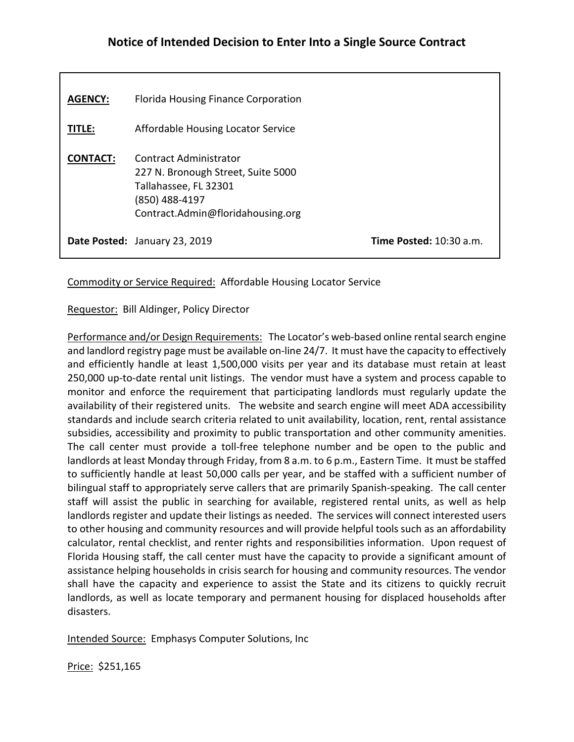## **Notice of Intended Decision to Enter Into a Single Source Contract**

| <b>AGENCY:</b>  | Florida Housing Finance Corporation                                                                                                          |                                  |
|-----------------|----------------------------------------------------------------------------------------------------------------------------------------------|----------------------------------|
| TITLE:          | Affordable Housing Locator Service                                                                                                           |                                  |
| <b>CONTACT:</b> | Contract Administrator<br>227 N. Bronough Street, Suite 5000<br>Tallahassee, FL 32301<br>(850) 488-4197<br>Contract.Admin@floridahousing.org |                                  |
|                 | Date Posted: January 23, 2019                                                                                                                | <b>Time Posted:</b> $10:30$ a.m. |

Commodity or Service Required: Affordable Housing Locator Service

Requestor: Bill Aldinger, Policy Director

Performance and/or Design Requirements: The Locator's web-based online rental search engine and landlord registry page must be available on-line 24/7. It must have the capacity to effectively and efficiently handle at least 1,500,000 visits per year and its database must retain at least 250,000 up-to-date rental unit listings. The vendor must have a system and process capable to monitor and enforce the requirement that participating landlords must regularly update the availability of their registered units. The website and search engine will meet ADA accessibility standards and include search criteria related to unit availability, location, rent, rental assistance subsidies, accessibility and proximity to public transportation and other community amenities. The call center must provide a toll-free telephone number and be open to the public and landlords at least Monday through Friday, from 8 a.m. to 6 p.m., Eastern Time. It must be staffed to sufficiently handle at least 50,000 calls per year, and be staffed with a sufficient number of bilingual staff to appropriately serve callers that are primarily Spanish-speaking. The call center staff will assist the public in searching for available, registered rental units, as well as help landlords register and update their listings as needed. The services will connect interested users to other housing and community resources and will provide helpful tools such as an affordability calculator, rental checklist, and renter rights and responsibilities information. Upon request of Florida Housing staff, the call center must have the capacity to provide a significant amount of assistance helping households in crisis search for housing and community resources. The vendor shall have the capacity and experience to assist the State and its citizens to quickly recruit landlords, as well as locate temporary and permanent housing for displaced households after disasters.

Intended Source: Emphasys Computer Solutions, Inc

Price: \$251,165